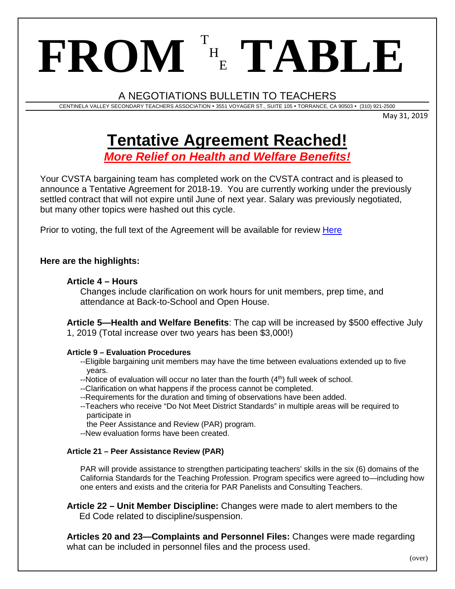# $\mathbf{FROM}$ <sup>T</sup> H <sup>E</sup> **TABLE**

A NEGOTIATIONS BULLETIN TO TEACHERS

CENTINELA VALLEY SECONDARY TEACHERS ASSOCIATION 3551 VOYAGER ST., SUITE 105 TORRANCE, CA 90503 (310) 921-2500

May 31, 2019

# **Tentative Agreement Reached!**

*More Relief on Health and Welfare Benefits!*

Your CVSTA bargaining team has completed work on the CVSTA contract and is pleased to announce a Tentative Agreement for 2018-19. You are currently working under the previously settled contract that will not expire until June of next year. Salary was previously negotiated, but many other topics were hashed out this cycle.

Prior to voting, the full text of the Agreement will be available for review [Here](http://sbut.org/CVTentAgmt_MarkedVersion.pdf)

## **Here are the highlights:**

### **Article 4 – Hours**

Changes include clarification on work hours for unit members, prep time, and attendance at Back-to-School and Open House.

**Article 5—Health and Welfare Benefits**: The cap will be increased by \$500 effective July 1, 2019 (Total increase over two years has been \$3,000!)

#### **Article 9 – Evaluation Procedures**

--Eligible bargaining unit members may have the time between evaluations extended up to five years.

- --Notice of evaluation will occur no later than the fourth  $(4<sup>th</sup>)$  full week of school.
- --Clarification on what happens if the process cannot be completed.
- --Requirements for the duration and timing of observations have been added.
- --Teachers who receive "Do Not Meet District Standards" in multiple areas will be required to participate in

the Peer Assistance and Review (PAR) program.

--New evaluation forms have been created.

#### **Article 21 – Peer Assistance Review (PAR)**

PAR will provide assistance to strengthen participating teachers' skills in the six (6) domains of the California Standards for the Teaching Profession. Program specifics were agreed to—including how one enters and exists and the criteria for PAR Panelists and Consulting Teachers.

**Article 22 – Unit Member Discipline:** Changes were made to alert members to the Ed Code related to discipline/suspension.

**Articles 20 and 23—Complaints and Personnel Files:** Changes were made regarding what can be included in personnel files and the process used.